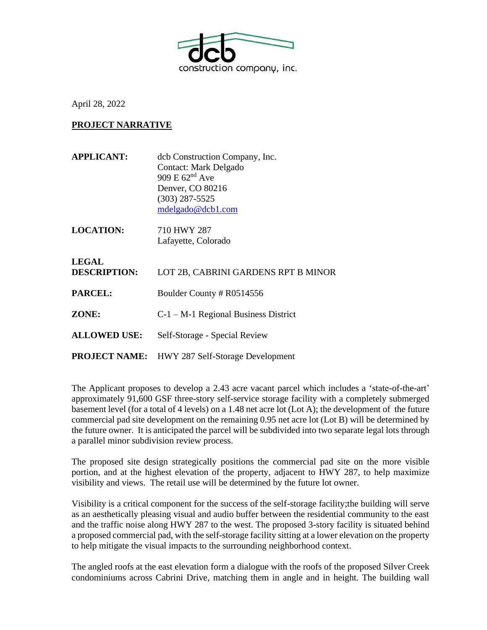

April 28, 2022

## **PROJECT NARRATIVE**

| <b>APPLICANT:</b>            | deb Construction Company, Inc.<br>Contact: Mark Delgado<br>$909 \text{ E } 62^{\text{nd}} \text{ Ave}$<br>Denver, CO 80216<br>$(303)$ 287-5525<br>mdelgado@dcb1.com |
|------------------------------|---------------------------------------------------------------------------------------------------------------------------------------------------------------------|
| <b>LOCATION:</b>             | 710 HWY 287<br>Lafayette, Colorado                                                                                                                                  |
| <b>LEGAL</b><br>DESCRIPTION: | LOT 2B, CABRINI GARDENS RPT B MINOR                                                                                                                                 |

**PARCEL:** Boulder County # R0514556

**ZONE:** C-1 – M-1 Regional Business District

**ALLOWED USE:** Self-Storage - Special Review

**PROJECT NAME:** HWY 287 Self-Storage Development

The Applicant proposes to develop a 2.43 acre vacant parcel which includes a 'state-of-the-art' approximately 91,600 GSF three-story self-service storage facility with a completely submerged basement level (for a total of 4 levels) on a 1.48 net acre lot (Lot A); the development of the future commercial pad site development on the remaining 0.95 net acre lot (Lot B) will be determined by the future owner. It is anticipated the parcel will be subdivided into two separate legal lots through a parallel minor subdivision review process.

The proposed site design strategically positions the commercial pad site on the more visible portion, and at the highest elevation of the property, adjacent to HWY 287, to help maximize visibility and views. The retail use will be determined by the future lot owner.

Visibility is a critical component for the success of the self-storage facility;the building will serve as an aesthetically pleasing visual and audio buffer between the residential community to the east and the traffic noise along HWY 287 to the west. The proposed 3-story facility is situated behind a proposed commercial pad, with the self-storage facility sitting at a lower elevation on the property to help mitigate the visual impacts to the surrounding neighborhood context.

The angled roofs at the east elevation form a dialogue with the roofs of the proposed Silver Creek condominiums across Cabrini Drive, matching them in angle and in height. The building wall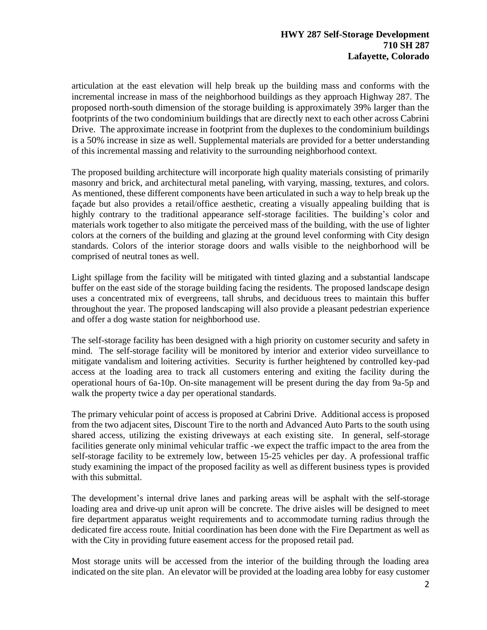articulation at the east elevation will help break up the building mass and conforms with the incremental increase in mass of the neighborhood buildings as they approach Highway 287. The proposed north-south dimension of the storage building is approximately 39% larger than the footprints of the two condominium buildings that are directly next to each other across Cabrini Drive. The approximate increase in footprint from the duplexes to the condominium buildings is a 50% increase in size as well. Supplemental materials are provided for a better understanding of this incremental massing and relativity to the surrounding neighborhood context.

The proposed building architecture will incorporate high quality materials consisting of primarily masonry and brick, and architectural metal paneling, with varying, massing, textures, and colors. As mentioned, these different components have been articulated in such a way to help break up the façade but also provides a retail/office aesthetic, creating a visually appealing building that is highly contrary to the traditional appearance self-storage facilities. The building's color and materials work together to also mitigate the perceived mass of the building, with the use of lighter colors at the corners of the building and glazing at the ground level conforming with City design standards. Colors of the interior storage doors and walls visible to the neighborhood will be comprised of neutral tones as well.

Light spillage from the facility will be mitigated with tinted glazing and a substantial landscape buffer on the east side of the storage building facing the residents. The proposed landscape design uses a concentrated mix of evergreens, tall shrubs, and deciduous trees to maintain this buffer throughout the year. The proposed landscaping will also provide a pleasant pedestrian experience and offer a dog waste station for neighborhood use.

The self-storage facility has been designed with a high priority on customer security and safety in mind. The self-storage facility will be monitored by interior and exterior video surveillance to mitigate vandalism and loitering activities. Security is further heightened by controlled key-pad access at the loading area to track all customers entering and exiting the facility during the operational hours of 6a-10p. On-site management will be present during the day from 9a-5p and walk the property twice a day per operational standards.

The primary vehicular point of access is proposed at Cabrini Drive. Additional access is proposed from the two adjacent sites, Discount Tire to the north and Advanced Auto Parts to the south using shared access, utilizing the existing driveways at each existing site. In general, self-storage facilities generate only minimal vehicular traffic -we expect the traffic impact to the area from the self-storage facility to be extremely low, between 15-25 vehicles per day. A professional traffic study examining the impact of the proposed facility as well as different business types is provided with this submittal.

The development's internal drive lanes and parking areas will be asphalt with the self-storage loading area and drive-up unit apron will be concrete. The drive aisles will be designed to meet fire department apparatus weight requirements and to accommodate turning radius through the dedicated fire access route. Initial coordination has been done with the Fire Department as well as with the City in providing future easement access for the proposed retail pad.

Most storage units will be accessed from the interior of the building through the loading area indicated on the site plan. An elevator will be provided at the loading area lobby for easy customer